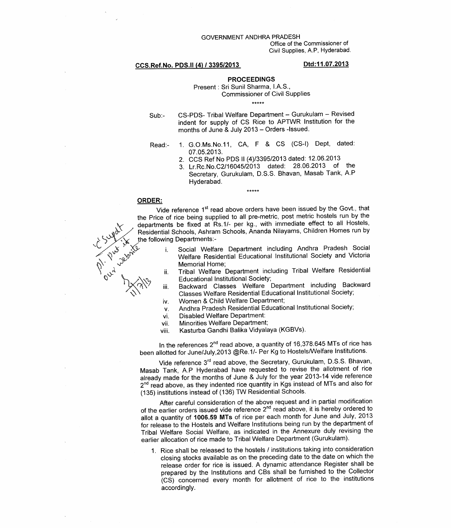### GOVERNMENT ANDHRA PRADESH

Office of the Commissioner of Civil Supplies, A.P. Hyderabad.

## CCS.Ref.No. PDS.II (4) / 3395/2013

# Dtd:11.07.2013

## **PROCEEDINGS**

## Present : Sri Sunil Sharma, I.A.S., **Commissioner of Civil Supplies** \*\*\*\*\*

- CS-PDS- Tribal Welfare Department Gurukulam Revised  $Sub:$ indent for supply of CS Rice to APTWR Institution for the months of June & July 2013 - Orders -Issued.
- 1. G.O.Ms.No.11, CA, F & CS (CS-I) Dept, dated: Read:-07.05.2013.
	- 2. CCS Ref No PDS II (4)/3395/2013 dated: 12.06.2013
	- 3. Lr.Rc.No.C2/16045/2013 dated: 28.06.2013 of the Secretary, Gurukulam, D.S.S. Bhavan, Masab Tank, A.P Hyderabad.
- **ORDER:**

Vide reference 1<sup>st</sup> read above orders have been issued by the Govt., that the Price of rice being supplied to all pre-metric, post metric hostels run by the departments be fixed at Rs.1/- per kg., with immediate effect to all Hostels, Residential Schools, Ashram Schools, Ananda Nilayams, Children Homes run by the following Departments:-

 $*****$ 

- Social Welfare Department including Andhra Pradesh Social  $i$ . Welfare Residential Educational Institutional Society and Victoria Memorial Home;
- Tribal Welfare Department including Tribal Welfare Residential ii. **Educational Institutional Society;**
- Backward Classes Welfare Department including Backward iii. Classes Welfare Residential Educational Institutional Society;
- Women & Child Welfare Department; iv.
- Andhra Pradesh Residential Educational Institutional Society;  $V<sub>1</sub>$
- **Disabled Welfare Department:** vi.
- **Minorities Welfare Department;** vii.
- Kasturba Gandhi Balika Vidyalaya (KGBVs). viii.

In the references 2<sup>nd</sup> read above, a quantity of 16,378.645 MTs of rice has been allotted for June/July, 2013 @Re.1/- Per Kg to Hostels/Welfare Institutions.

Vide reference 3rd read above, the Secretary, Gurukulam, D.S.S. Bhavan, Masab Tank, A.P Hyderabad have requested to revise the allotment of rice already made for the months of June & July for the year 2013-14 vide reference 2<sup>nd</sup> read above, as they indented rice quantity in Kgs instead of MTs and also for (135) institutions instead of (136) TW Residential Schools.

After careful consideration of the above request and in partial modification of the earlier orders issued vide reference 2<sup>nd</sup> read above, it is hereby ordered to allot a quantity of 1006.59 MTs of rice per each month for June and July, 2013 for release to the Hostels and Welfare Institutions being run by the department of Tribal Welfare Social Welfare, as indicated in the Annexure duly revising the earlier allocation of rice made to Tribal Welfare Department (Gurukulam).

1. Rice shall be released to the hostels / institutions taking into consideration closing stocks available as on the preceding date to the date on which the release order for rice is issued. A dynamic attendance Register shall be prepared by the Institutions and CBs shall be furnished to the Collector (CS) concerned every month for allotment of rice to the institutions accordingly.

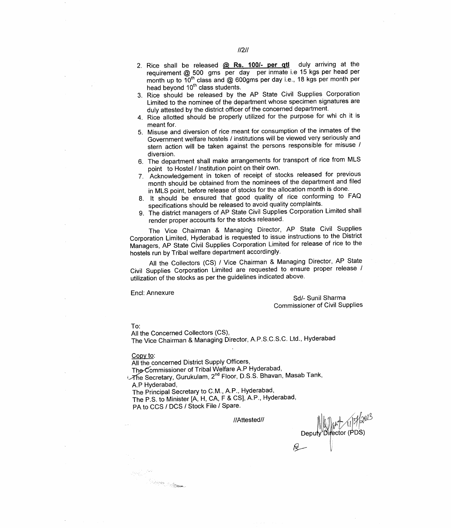- 2. Rice shall be released @ Rs. 100/- per gtl duly arriving at the requirement @ 500 gms per day per inmate i.e 15 kgs per head per month up to 10<sup>th</sup> class and @ 600gms per day i.e., 18 kgs per month per head beyond 10<sup>th</sup> class students.
- 3. Rice should be released by the AP State Civil Supplies Corporation Limited to the nominee of the department whose specimen signatures are duly attested by the district officer of the concerned department.
- 4. Rice allotted should be properly utilized for the purpose for whi ch it is meant for.
- 5. Misuse and diversion of rice meant for consumption of the inmates of the Government welfare hostels / institutions will be viewed very seriously and stern action will be taken against the persons responsible for misuse / diversion.
- 6. The department shall make arrangements for transport of rice from MLS point to Hostel / Institution point on their own.
- 7. Acknowledgement in token of receipt of stocks released for previous month should be obtained from the nominees of the department and filed in MLS point, before release of stocks for the allocation month is done.
- 8. It should be ensured that good quality of rice conforming to FAQ specifications should be released to avoid quality complaints.
- The district managers of AP State Civil Supplies Corporation Limited shall render proper accounts for the stocks released.

The Vice Chairman & Managing Director, AP State Civil Supplies Corporation Limited, Hyderabad is requested to issue instructions to the District Managers, AP State Civil Supplies Corporation Limited for release of rice to the hostels run by Tribal welfare department accordingly.

All the Collectors (CS) / Vice Chairman & Managing Director, AP State Civil Supplies Corporation Limited are requested to ensure proper release / utilization of the stocks as per the guidelines indicated above.

**Encl: Annexure** 

Sd/- Sunil Sharma **Commissioner of Civil Supplies** 

 $To:$ 

All the Concerned Collectors (CS), The Vice Chairman & Managing Director, A.P.S.C.S.C. Ltd., Hyderabad

#### Copy to:

el (S. J<sup>and</sup><br>Lidheen San Britannia<br>Lidheen San Britannia

All the concerned District Supply Officers,

The Commissioner of Tribal Welfare A.P Hyderabad,

The Secretary, Gurukulam, 2<sup>nd</sup> Floor, D.S.S. Bhavan, Masab Tank, A.P Hyderabad,

The Principal Secretary to C.M., A.P., Hyderabad,

The P.S. to Minister [A, H, CA, F & CS], A.P., Hyderabad,

PA to CCS / DCS / Stock File / Spare.

//Attested//

Deputy Director (PDS)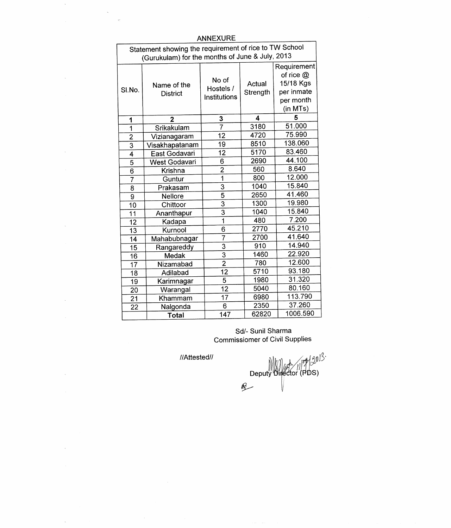| <b>ANNEXURE</b>                                                                                           |                                |                                    |                    |                                                                                |  |  |  |  |  |
|-----------------------------------------------------------------------------------------------------------|--------------------------------|------------------------------------|--------------------|--------------------------------------------------------------------------------|--|--|--|--|--|
| Statement showing the requirement of rice to TW School<br>(Gurukulam) for the months of June & July, 2013 |                                |                                    |                    |                                                                                |  |  |  |  |  |
| SI.No.                                                                                                    | Name of the<br><b>District</b> | No of<br>Hostels /<br>Institutions | Actual<br>Strength | Requirement<br>of rice $@$<br>15/18 Kgs<br>per inmate<br>per month<br>(in MTs) |  |  |  |  |  |
| 1                                                                                                         | $\mathbf{2}$                   | 3                                  | 4                  | 5                                                                              |  |  |  |  |  |
| 1                                                                                                         | Srikakulam                     | 7                                  | 3180               | 51.000                                                                         |  |  |  |  |  |
| $\overline{2}$                                                                                            | Vizianagaram                   | 12                                 | 4720               | 75.990                                                                         |  |  |  |  |  |
| 3                                                                                                         | Visakhapatanam                 | 19                                 | 8510               | 138.060                                                                        |  |  |  |  |  |
| 4                                                                                                         | East Godavari                  | 12                                 | 5170               | 83.460                                                                         |  |  |  |  |  |
| 5                                                                                                         | West Godavari                  | 6                                  | 2690               | 44.100                                                                         |  |  |  |  |  |
| $\overline{6}$                                                                                            | <b>Krishna</b>                 | $\overline{2}$                     | 560                | 8.640                                                                          |  |  |  |  |  |
| 7                                                                                                         | Guntur                         | $\overline{1}$                     | 800                | 12.000                                                                         |  |  |  |  |  |
| 8                                                                                                         | Prakasam                       | 3                                  | 1040               | 15.840                                                                         |  |  |  |  |  |
| 9                                                                                                         | <b>Nellore</b>                 | $\overline{5}$                     | 2650               | 41.460                                                                         |  |  |  |  |  |
| 10                                                                                                        | Chittoor                       | $\overline{3}$                     | 1300               | 19.980                                                                         |  |  |  |  |  |
| 11                                                                                                        | Ananthapur                     | 3                                  | 1040               | 15.840                                                                         |  |  |  |  |  |
| 12                                                                                                        | Kadapa                         | $\mathbf 1$                        | 480                | 7.200                                                                          |  |  |  |  |  |
| 13                                                                                                        | Kurnool                        | 6                                  | 2770               | 45.210                                                                         |  |  |  |  |  |
| 14                                                                                                        | Mahabubnagar                   | $\overline{7}$                     | 2700               | 41.640                                                                         |  |  |  |  |  |
| 15                                                                                                        | Rangareddy                     | 3                                  | 910                | 14.940                                                                         |  |  |  |  |  |
| 16                                                                                                        | Medak                          | $\overline{3}$                     | 1460               | 22.920                                                                         |  |  |  |  |  |
| 17                                                                                                        | Nizamabad                      | $\overline{2}$                     | 780                | 12.600                                                                         |  |  |  |  |  |
| 18                                                                                                        | Adilabad                       | 12                                 | 5710               | 93.180                                                                         |  |  |  |  |  |
| 19                                                                                                        | Karimnagar                     | 5                                  | 1980               | 31.320                                                                         |  |  |  |  |  |
| 20                                                                                                        | Warangal                       | 12                                 | 5040               | 80.160                                                                         |  |  |  |  |  |
| 21                                                                                                        | Khammam                        | 17                                 | 6980               | 113.790                                                                        |  |  |  |  |  |
| 22                                                                                                        | Nalgonda                       | 6                                  | 2350               | 37.260                                                                         |  |  |  |  |  |
|                                                                                                           | Total                          | 147                                | 62820              | 1006.590                                                                       |  |  |  |  |  |

 $\hat{\mathcal{S}}$ 

 $\bar{\mathbf{z}}$ 

 $\bar{\mathcal{A}}$ 

 $\bar{\mathcal{A}}$ 

 $\bar{\lambda}$ 

 $\sim$ 

 $\bar{\mathcal{A}}$ 

 $\mathcal{L}_{\mathcal{S}}$ 

 $\overline{\phantom{a}}$ 

 $\tilde{\mathcal{L}}_0^{\alpha}$ 

Sd/- Sunil Sharma<br>Commissiomer of Civil Supplies

//Attested//

 $\mathcal{A}$ 

Deputy Director (PDS)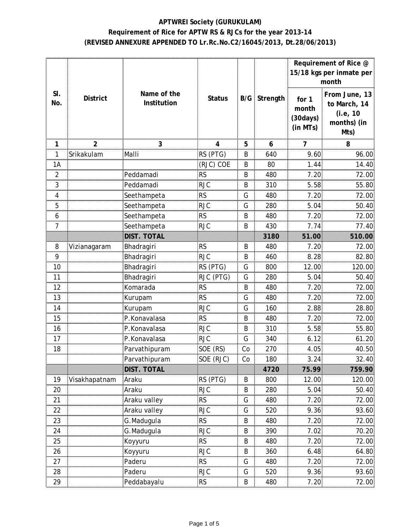# **APTWREI Society (GURUKULAM) Requirement of Rice for APTW RS & RJCs for the year 2013-14 (REVISED ANNEXURE APPENDED TO Lr.Rc.No.C2/16045/2013, Dt.28/06/2013)**

|            |                 |                            |               |    |                     | Requirement of Rice @<br>15/18 kgs per inmate per<br>month |                                                                  |
|------------|-----------------|----------------------------|---------------|----|---------------------|------------------------------------------------------------|------------------------------------------------------------------|
| SI.<br>No. | <b>District</b> | Name of the<br>Institution | <b>Status</b> |    | <b>B/G</b> Strength | for 1<br>month<br>(30 days)<br>(in MTs)                    | From June, 13<br>to March, 14<br>(i.e, 10<br>months) (in<br>Mts) |
| 1<br>ana.  |                 | 3                          |               | 5  | 6                   |                                                            | 8                                                                |
| 1          | Srikakulam      | Malli                      | RS (PTG)      | B  | 640                 | 9.60                                                       | 96.00                                                            |
| 1A         |                 |                            | (RJC) COE     | B  | 80                  | 1.44                                                       | 14.40                                                            |
| 2          |                 | Peddamadi                  | <b>RS</b>     | B  | 480                 | 7.20                                                       | 72.00                                                            |
| 3          |                 | Peddamadi                  | <b>RJC</b>    | B  | 310                 | 5.58                                                       | 55.80                                                            |
| 4          |                 | Seethampeta                | <b>RS</b>     | G  | 480                 | 7.20                                                       | 72.00                                                            |
| 5          |                 | Seethampeta                | <b>RJC</b>    | G  | 280                 | 5.04                                                       | 50.40                                                            |
| 6          |                 | Seethampeta                | <b>RS</b>     | Β  | 480                 | 7.20                                                       | 72.00                                                            |
|            |                 | Seethampeta                | RJC           | Β  | 430                 | 114                                                        | 77.40                                                            |
|            |                 | dist. Tota                 |               |    | 3180                | 51.00                                                      | 510.00                                                           |
| 8          | Vizianagaram    | Bhadragiri                 | <b>RS</b>     | В  | 480                 | 7.20                                                       | 72.00                                                            |
| 9          |                 | Bhadragiri                 | <b>RJC</b>    | Β  | 460                 | 8.28                                                       | 82.80                                                            |
| 10         |                 | Bhadragiri                 | RS (PTG)      | G  | 800                 | 12.00                                                      | 120.00                                                           |
| 11         |                 | Bhadragiri                 | RJC (PTG)     | G  | 280                 | 5.04                                                       | 50.40                                                            |
| 12         |                 | Komarada                   | <b>RS</b>     | B  | 480                 | 7.20                                                       | 72.00                                                            |
| 13         |                 | Kurupam                    | RS            | G  | 480                 | 7.20                                                       | 72.00                                                            |
| 14         |                 | Kurupam                    | <b>RJC</b>    | G  | 160                 | 2.88                                                       | 28.80                                                            |
| 15         |                 | P.Konavalasa               | RS            | B  | 480                 | 7.20                                                       | 72.00                                                            |
| 16         |                 | P.Konavalasa               | <b>RJC</b>    | B  | 310                 | 5.58                                                       | 55.80                                                            |
| 17         |                 | P.Konavalasa               | RJC           | G  | 340                 | 6.12                                                       | 61.20                                                            |
| 18         |                 | Parvathipuram              | SOE (RS)      | Co | 270                 | 4.05                                                       | 40.50                                                            |
|            |                 | Parvathipuram              | SOE (RJC)     | Co | 180                 | 3.24                                                       | 32.40                                                            |
|            |                 | DIST. TOTAL                |               |    | 4720                | 75.99                                                      | 759.90                                                           |
| 19         | Visakhapatnam   | Araku                      | RS (PTG)      | B  | 800                 | 12.00                                                      | 120.00                                                           |
| 20         |                 | Araku                      | <b>RJC</b>    | B  | 280                 | 5.04                                                       | 50.40                                                            |
| 21         |                 | Araku valley               | <b>RS</b>     | G  | 480                 | 7.20                                                       | 72.00                                                            |
| 22         |                 | Araku valley               | RJC           | G  | 520                 | 9.36                                                       | 93.60                                                            |
| 23         |                 | G.Madugula                 | <b>RS</b>     | B  | 480                 | 7.20                                                       | 72.00                                                            |
| 24         |                 | G.Madugula                 | RJC           | В  | 390                 | 7.02.                                                      | 70.20                                                            |
| 25         |                 | Koyyuru                    | <b>RS</b>     | Β  | 480                 | 7.20                                                       | 72.00                                                            |
| 26         |                 | Koyyuru                    | <b>RJC</b>    | Β  | 360                 | 6.48                                                       | 64.80                                                            |
| 27         |                 | Paderu                     | RS            | G  | 480                 | 7.20                                                       | 72.00                                                            |
| 28         |                 | Paderu                     | RJC           | G  | 520                 | 9.36                                                       | 93.60                                                            |
| 29         |                 | Peddabayalu                | RS            | В  | 480                 | 7.20                                                       | 72.00                                                            |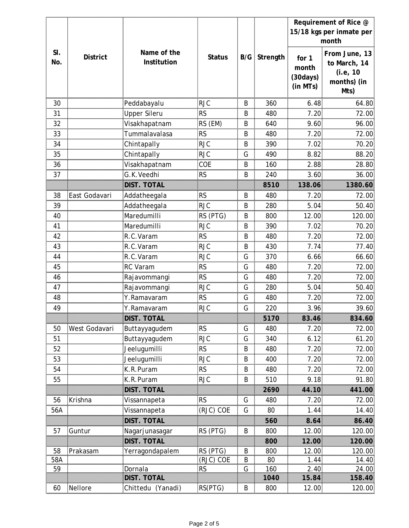|     |                 |                     |               |                |                     |                | Requirement of Rice @    |
|-----|-----------------|---------------------|---------------|----------------|---------------------|----------------|--------------------------|
|     |                 |                     |               |                |                     |                | 15/18 kgs per inmate per |
|     |                 |                     |               |                |                     |                | month                    |
| SI. | <b>District</b> | Name of the         | <b>Status</b> |                | <b>B/G</b> Strength |                | From June, 13            |
| No. |                 | Institution         |               |                |                     | for 1<br>month | to March, 14             |
|     |                 |                     |               |                |                     | (30 days)      | (i.e, 10                 |
|     |                 |                     |               |                |                     | (in MTs)       | months) (in              |
|     |                 |                     |               |                |                     |                | Mts)                     |
| 30  |                 | Peddabayalu         | <b>RJC</b>    | Β              | 360                 | 6.48           | 64.80                    |
| 31  |                 | Upper Sileru        | <b>RS</b>     | Β              | 480                 | 7.20           | 72.00                    |
| 32  |                 | Visakhapatnam       | RS (EM)       | Β              | 640                 | 9.60           | 96.00                    |
| 33  |                 | Tummalavalasa       | <b>RS</b>     | B              | 480                 | 7.20           | 72.00                    |
| 34  |                 | Chintapally         | RJC           | Β              | 390                 | 7.02.          | 70.20                    |
| 35  |                 | Chintapally         | <b>RJC</b>    | G              | 490                 | 8.82           | 88.20                    |
| 36  |                 | Visakhapatnam       | COE           | Β              | 160                 | 2.88           | 28.80                    |
| 37  |                 | G.K.Veedhi          | <b>RS</b>     | B              | 240                 | 3.60           | 36.00                    |
|     |                 | <b>DIST. TOTAL</b>  |               |                | 8510                | 138.06         | 1380.60                  |
| 38  | East Godavari   | Addatheegala        | <b>RS</b>     | Β              | 480                 | 7.20           | 72.00                    |
| 39  |                 | Addatheegala        | RJC           | В              | 280                 | 5.04           | 50.40                    |
| 40  |                 | Maredumill          | RS (PTG)      | В              | 800                 | 2.00           | 20.00                    |
| 41  |                 | Maredumill          | RJC           | Β              | 390                 | 7 N2           | .<br>70.20               |
| 42  |                 | R.C.Varam           | RS            | Β              | 480                 | 7.20           | 72.00                    |
| 43  |                 | R.C.Varam           | RJC           | B              | 430                 | 7.74           | <br>77.40                |
| 44  |                 | R.C.Varam           | RJC           | G              | 370                 | 6.66           | 66.60                    |
| 45  |                 | <b>RC Varam</b>     | RS            | G              | 480                 | 7.20           | 72.00                    |
| 46  |                 | Rajavommangi        | <b>RS</b>     | G              | 480                 | 7.20           | 72.00                    |
| 47  |                 | Rajavommangi        | <b>RJC</b>    | G              | 280                 | 5.04           | 50.40                    |
| 48  |                 | Y.Ramavaram         | <b>RS</b>     | G              | 480                 | 7.20           | 72.00                    |
| 49  |                 | Y.Ramavaram         | RJC           | G              | 220                 | 3.96           | 39.60                    |
|     |                 | <b>DIST. TOTAL</b>  |               |                | 5170                | 83.46          | 834.60                   |
| 50  | West Godavari   | Buttayyagudem       | <b>RS</b>     | G              | 480                 | 7.20           | 72.00                    |
| 51  |                 | Buttayyagudem       | <b>RJC</b>    | G              | 340                 | 6.12           | 61.20                    |
| 52  |                 | Jeelugumilli        | <b>RS</b>     | B              | 480                 | 7.20           | 72.00                    |
| 53  |                 | Jeelugumilli        | <b>RJC</b>    | B              | 400                 | 7.20           | 72.00                    |
| 54  |                 | K.R.Puram           | <b>RS</b>     | B              | 480                 | 7.20           | 72.00                    |
| 55  |                 | K.R.Puram           | RJC           | В              | 510                 | 9.18           | 91.80                    |
|     |                 | DIST. TOTAI         |               |                | 2690                | 44.10          | 441.00                   |
| 56  | Krishna         | Vissannapeta        | RS            | G              | 480                 | 7.20           | 72.00                    |
| 56A |                 | Vissannapeta        | (RJC) COE     | G              | 80                  | 1.44           | 14.40                    |
|     |                 | <b>DIST. TOTAL</b>  |               |                | 560                 | 8.64           | 86.40                    |
| 57  | Guntur          | Nagarjunasagar      | RS (PTG)      | B              | 800                 | 12.00          | 120.00                   |
|     |                 | <b>DIST. TOTAL</b>  |               |                | 800                 | 12.00          | 120.00                   |
| 58  | Prakasam        | Yerragondapalem     | RS (PTG)      | $\overline{B}$ | 800                 | 12.00          | 120.00                   |
| 58A |                 |                     | (RJC) COE     | B              | 80                  | 1.44           | 14.40                    |
| 59  |                 | Dornala             | <b>RS</b>     | G              | 160                 | 2.40           | <u>24.00</u>             |
|     |                 | DIST. TOTAI         |               |                | 1040                | .84            | 158.40                   |
| 60  | Nellore         | Chittedu<br>Yanadi. | RS(PTG)       | к              | 800                 | 12.00          | 120.00<br>               |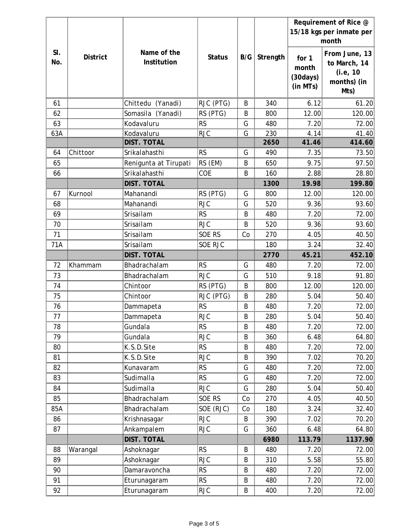|     |                 |                       |               |    |                     |                       | Requirement of Rice @    |
|-----|-----------------|-----------------------|---------------|----|---------------------|-----------------------|--------------------------|
|     |                 |                       |               |    |                     |                       | 15/18 kgs per inmate per |
|     |                 |                       |               |    |                     |                       | month                    |
| SI. |                 | Name of the           |               |    |                     |                       | From June, 13            |
| No. | <b>District</b> | Institution           | <b>Status</b> |    | <b>B/G</b> Strength | for 1                 | to March, 14             |
|     |                 |                       |               |    |                     | month                 | (i.e, 10                 |
|     |                 |                       |               |    |                     | (30 days)<br>(in MTs) | months) (in              |
|     |                 |                       |               |    |                     |                       | Mts)                     |
| 61  |                 | Chittedu (Yanadi)     | RJC (PTG)     | B  | 340                 | 6.12                  | 61.20                    |
| 62  |                 | Somasila (Yanadi)     | RS (PTG)      | B  | 800                 | 12.00                 | 120.00                   |
| 63  |                 | Kodavaluru            | RS            | G  | 480                 | 7.20                  | 72.00                    |
| 63A |                 | Kodavaluru            | <b>RJC</b>    | G  | 230                 | 4.14                  | 41.40                    |
|     |                 | DIST. TOTAL           |               |    | 2650                | 41.46                 | 414.60                   |
| 64  | Chittoor        | Srikalahasthi         | <b>RS</b>     | G  | 490                 | 7.35                  | 73.50                    |
| 65  |                 | Renigunta at Tirupati | RS (EM)       | B  | 650                 | 9.75                  | 97.50                    |
| 66  |                 | Srikalahasthi         | COE           | B  | 160                 | 2.88                  | 28.80                    |
|     |                 | DIST. TOTAL           |               |    | 1300                | 19.98                 | 199.80                   |
| 67  | Kurnool         | Mahanandi             | RS (PTG)      | G  | 800                 | 12.00                 | 120.00                   |
| 68  |                 | Mahanandi             | <b>RJC</b>    | G  | 520                 | 9.36                  | 93.60                    |
| 69  |                 | Srisailam             | <b>RS</b>     | B  | 480                 | 7.20                  | 72.00                    |
| 70  |                 | Srisailam             | <b>RJC</b>    | B  | 520                 | 9.36                  | 93.60                    |
| 71  |                 | Srisailam             | SOE RS        | Co | 270                 | 4.05                  | 40.50                    |
| 71A |                 | Srisailam             | SOE RJC       |    | 180                 | 3.24                  | 32.40                    |
|     |                 | DIST. TOTAL           |               |    | 2770                | 45.21                 | 452.10                   |
| 72  | Khammam         | Bhadrachalam          | <b>RS</b>     | G  | 480                 | 7.20                  | 72.00                    |
| 73  |                 | Bhadrachalam          | RJC           | G  | 510                 | 9.18                  | 91.80                    |
| 74  |                 | Chintoor              | RS (PTG)      | В  | 800                 | 12.00                 | 120.00                   |
| 75  |                 | Chintoor              | RJC (PTG)     | Β  | 280                 | 5.04                  | 50.40                    |
| 76  |                 |                       | RS            | Β  | 480                 | 7.20                  | 72.00                    |
| 77  |                 |                       | RJC           | B  | 280                 | 5.04:                 | 50.40                    |
| 78  |                 | Gundala               | RS            | B  | 480                 | 7.20                  | 72.00                    |
| 79  |                 | Gundala               | RJC           | B  | 360                 | 6.48                  | 64.80                    |
| 80  |                 | K.S.D.Site            | RS            | B  | 480                 | 7.20:                 | 72.00                    |
| 81  |                 | K.S.D.Site            | <b>RJC</b>    | B  | 390                 | 7.02                  | 70.20                    |
| 82  |                 | Kunavaram             | RS            | G  | 480                 | 7.20                  | 72.00                    |
| 83  |                 | Sudimalla             | <b>RS</b>     | G  | 480                 | 7.20                  | 72.00                    |
| 84  |                 | Sudimalla             | RJC           | G  | 280                 | 5.04                  | 50.40                    |
| 85  |                 | Bhadrachalam          | SOE RS        | Co | 270                 | 4.05                  | 40.50                    |
| 85A |                 | Bhadrachalam          | SOE (RJC)     | Co | 180                 | 3.24                  | 32.40                    |
| 86  |                 | Krishnasagar          | <b>RJC</b>    | B  | 390                 | 7.02                  | 70.20                    |
| 87  |                 | Ankampalem            | RJC           | G  | 360                 | 6.48                  | 64.80                    |
|     |                 | DIST. TOTAL           |               |    | 6980                | 113.79                | 1137.90                  |
| 88  | Warangal        | Ashoknagar            | <b>RS</b>     | B  | 480                 | 7.20                  | 72.00                    |
| 89  |                 | Ashoknagar            | RJC           | Β  | 310                 | 5.58                  | 55.80                    |
| 90  |                 | Damaravoncha          | <b>RS</b>     | Β  | 480                 | 7.20                  | 72.00                    |
| 91  |                 | Eturunagaram          | RS            | Β  | 480                 | 7.20                  | 72.00                    |
| 92  |                 | Eturunagaram          | <b>RJC</b>    | Β  | 400                 | 7.20                  | 72.00                    |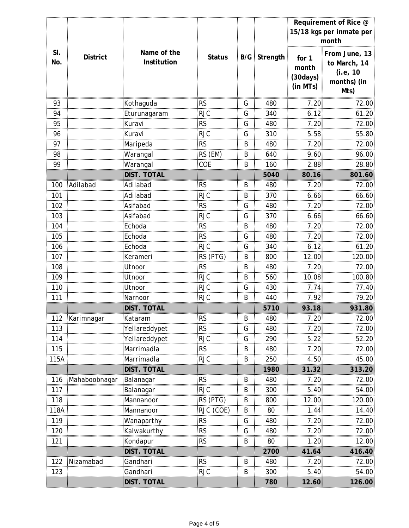|         |                 |                    |               |   |                     |           | Requirement of Rice @    |
|---------|-----------------|--------------------|---------------|---|---------------------|-----------|--------------------------|
|         |                 |                    |               |   |                     |           | 15/18 kgs per inmate per |
|         |                 |                    |               |   |                     |           | month                    |
| SI.     |                 | Name of the        |               |   |                     |           | From June, 13            |
| No.     | <b>District</b> | Institution        | <b>Status</b> |   | <b>B/G</b> Strength | for 1     | to March, 14             |
|         |                 |                    |               |   |                     | month     | (i.e, 10                 |
|         |                 |                    |               |   |                     | (30 days) | months) (in              |
|         |                 |                    |               |   |                     | (in MTs)  | Mts)                     |
| 93      |                 | Kothaguda          | RS            | G | 480                 | 7.20      | 72.00                    |
| 94      |                 | Eturunagaram       | RJC           | G | 340                 | 6.12      | 61.20                    |
| 95      |                 | Kuravi             | RS            | G | 480                 | 7.20      | 72.00                    |
| 96      |                 | Kuravi             | <b>RJC</b>    | G | 310                 | 5.58      | 55.80                    |
| 97      |                 | Maripeda           | RS            | Β | 480                 | 7.20      | 72.00                    |
| 98      |                 | Warangal           | RS (EM)       | B | 640                 | 9.60      | 96.00                    |
| 99      |                 | Warangal           | COE           | Β | 160                 | 2.88      | 28.80                    |
|         |                 | DIST. TOTAL        |               |   | 5040                | 80.16     | 801.60                   |
| 100     | Adilabad        | Adilabad           | <b>RS</b>     | B | 480                 | 7.20      | 72.00                    |
| 101     |                 | Adilabad           | <b>RJC</b>    | Β | 370                 | 6.66      | 66.60                    |
| 102     |                 | Asifabad           | RS            | G | 480                 | 7.20      | 72.00                    |
| 103<br> |                 | Asifabad           | RJC           | G | 370                 | 6.66      | 66.60                    |
| 104     |                 | Echoda             | RS            | B | 480                 | 7.20      | 72.00                    |
| <br>105 |                 | Echoda             | RS            | G | 480                 | 7.20      | 72.00                    |
| 106     |                 | Echoda             | RJC           | G | 340                 | 6.12      | 61.20                    |
| 107     |                 | Kerameri           | RS (PTG)      | B | 800                 | 12.00     | 120.00                   |
| 108     |                 | Utnoor             | <b>RS</b>     | B | 480                 | 7.20      | 72.00                    |
| 109     |                 | Utnoor             | <b>RJC</b>    | B | 560                 | 10.08     | 100.80                   |
| 110     |                 | Utnoor             | RJC           | G | 430                 | 7.74      | 77.40                    |
| 111     |                 | Narnoor            | RJC           | B | 440                 | 7.92      | 79.20                    |
|         |                 | <b>DIST. TOTAL</b> |               |   | 5710                | 93.18     | 931.80                   |
|         | 112 Karimnagar  | Kataram            | <b>RS</b>     | B | 480                 | 7.20      | 72.00                    |
| 113     |                 | Yellareddypet      | RS            | G | 480                 | 7.20      | 72.00                    |
| $114$   |                 | Yellareddypet      | <b>RJC</b>    | G | 290                 | 5.22      | 52.20                    |
| 115     |                 | Marrimadla         | <b>RS</b>     | B | 480                 | 7.20      | 72.00                    |
| 115A    |                 | Marrimadla         | <b>RJC</b>    | B | 250                 | 4.50      | 45.00                    |
|         |                 | DIST. TOTAL        |               |   | 1980                | 31.32     | 313.20                   |
| 116     | Mahaboobnagar   | Balanagar          | RS            | B | 480                 | 7.20      | 72.00                    |
| 117     |                 | <b>Balanagar</b>   | <b>RJC</b>    | B | 300                 | 5.40      | 54.00                    |
| 118     |                 | Mannanoor          | RS (PTG)      | В | 800                 | 12.00     | 120.00                   |
| 118A    |                 | Mannanoor          | RJC (COE)     | B | 80                  | 1.44      | 14.40                    |
| 119     |                 | Wanaparthy         | RS            | G | 480                 | 7.20      | 72.00                    |
| 120     |                 | Kalwakurthy        | <b>RS</b>     | G | 480                 | 7.20      | 72.00                    |
| 121     |                 | Kondapur           | <b>RS</b>     | B | 80                  | 1.20      | 12.00                    |
|         |                 | DIST. TOTAL        |               |   | 2700                | 41.64     | 416.40                   |
| 122     | Nizamabad       | Gandhari           | <b>RS</b>     | Β | 480                 | 7.20      | 72.00                    |
| 123     |                 | Gandhari           | RJC           | В | 300                 | 5.40      | 54.00                    |
|         |                 | DIST. TOTAL        |               |   | 780                 | 12.60     | 126.00                   |
|         |                 |                    |               |   |                     |           |                          |